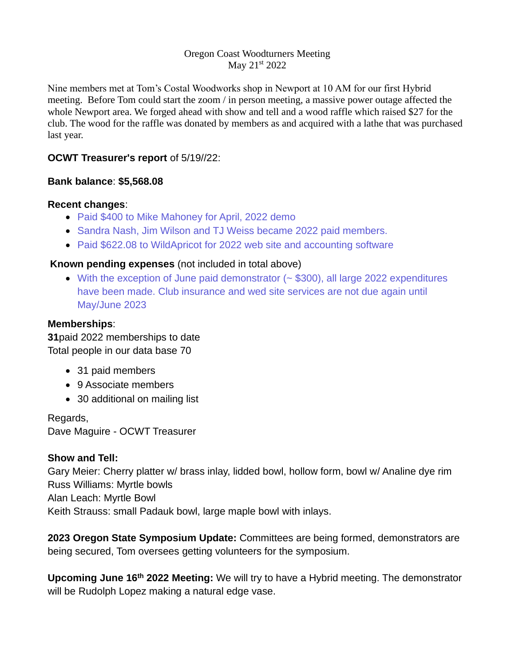#### Oregon Coast Woodturners Meeting May 21<sup>st</sup> 2022

Nine members met at Tom's Costal Woodworks shop in Newport at 10 AM for our first Hybrid meeting. Before Tom could start the zoom / in person meeting, a massive power outage affected the whole Newport area. We forged ahead with show and tell and a wood raffle which raised \$27 for the club. The wood for the raffle was donated by members as and acquired with a lathe that was purchased last year.

# **OCWT Treasurer's report** of 5/19//22:

#### **Bank balance**: **\$5,568.08**

#### **Recent changes**:

- Paid \$400 to Mike Mahoney for April, 2022 demo
- Sandra Nash, Jim Wilson and TJ Weiss became 2022 paid members.
- Paid \$622.08 to WildApricot for 2022 web site and accounting software

## **Known pending expenses** (not included in total above)

• With the exception of June paid demonstrator (~ \$300), all large 2022 expenditures have been made. Club insurance and wed site services are not due again until May/June 2023

### **Memberships**:

**31**paid 2022 memberships to date Total people in our data base 70

- 31 paid members
- 9 Associate members
- 30 additional on mailing list

Regards,

Dave Maguire - OCWT Treasurer

#### **Show and Tell:**

Gary Meier: Cherry platter w/ brass inlay, lidded bowl, hollow form, bowl w/ Analine dye rim Russ Williams: Myrtle bowls Alan Leach: Myrtle Bowl Keith Strauss: small Padauk bowl, large maple bowl with inlays.

**2023 Oregon State Symposium Update:** Committees are being formed, demonstrators are being secured, Tom oversees getting volunteers for the symposium.

**Upcoming June 16th 2022 Meeting:** We will try to have a Hybrid meeting. The demonstrator will be Rudolph Lopez making a natural edge vase.